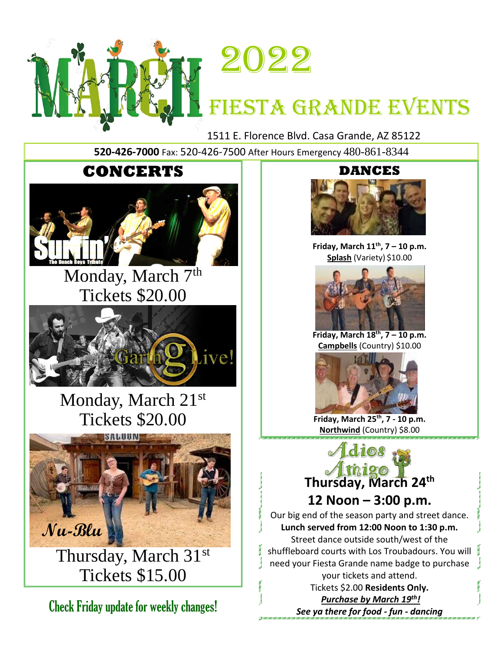



# FIESTA GRANDE EVENTS

1511 E. Florence Blvd. Casa Grande, AZ 85122

**520-426-7000** Fax: 520-426-7500 After Hours Emergency 480-861-8344



## Monday, March 7<sup>th</sup> Tickets \$20.00



Monday, March 21st Tickets \$20.00



Thursday, March 31st Tickets \$15.00

Check Friday update for weekly changes!

### **DANCES**



**Friday, March 11th , 7 – 10 p.m. Splash** (Variety) \$10.00



**Friday, March 18 th , 7 – 10 p.m. Campbells** (Country) \$10.00



**Friday, March 25th , 7 - 10 p.m. Northwind** (Country) \$8.00



Our big end of the season party and street dance. **Lunch served from 12:00 Noon to 1:30 p.m.** Street dance outside south/west of the shuffleboard courts with Los Troubadours. You will need your Fiesta Grande name badge to purchase your tickets and attend. Tickets \$2.00 **Residents Only.** *Purchase by March 19th !*

*See ya there for food - fun - dancing*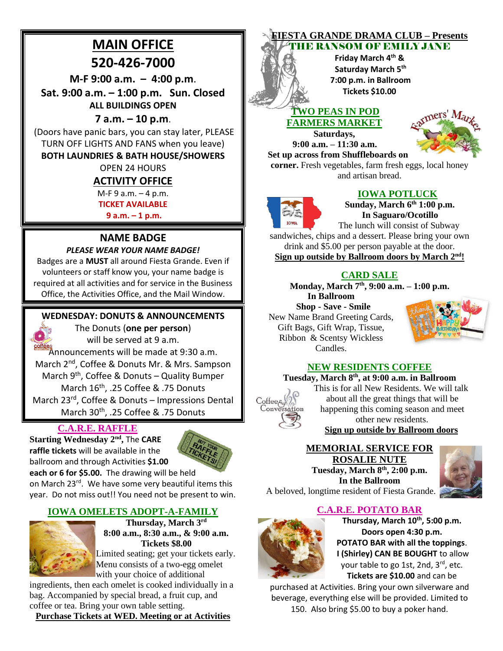### **MAIN OFFICE 520-426-7000**

**M-F 9:00 a.m. – 4:00 p.m**.

**Sat. 9:00 a.m. – 1:00 p.m. Sun. Closed ALL BUILDINGS OPEN**

#### **7 a.m. – 10 p.m**.

(Doors have panic bars, you can stay later, PLEASE TURN OFF LIGHTS AND FANS when you leave)

#### **BOTH LAUNDRIES & BATH HOUSE/SHOWERS**

### OPEN 24 HOURS

#### **ACTIVITY OFFICE**

M-F 9 a.m. – 4 p.m.

**TICKET AVAILABLE** 

**9 a.m. – 1 p.m.**

#### **NAME BADGE** *PLEASE WEAR YOUR NAME BADGE!*

Badges are a **MUST** all around Fiesta Grande. Even if volunteers or staff know you, your name badge is required at all activities and for service in the Business Office, the Activities Office, and the Mail Window.

#### **WEDNESDAY: DONUTS & ANNOUNCEMENTS**

The Donuts (**one per person**) will be served at 9 a.m. **Soffices**<br>Announcements will be made at 9:30 a.m. March 2<sup>nd</sup>, Coffee & Donuts Mr. & Mrs. Sampson March 9<sup>th</sup>, Coffee & Donuts – Quality Bumper March 16<sup>th</sup>, .25 Coffee & .75 Donuts March 23<sup>rd</sup>, Coffee & Donuts - Impressions Dental March 30<sup>th</sup>, .25 Coffee & .75 Donuts

### **C.A.R.E. RAFFLE**

**Starting Wednesday 2nd ,** The **CARE raffle tickets** will be available in the ballroom and through Activities **\$1.00** 



**each or 6 for \$5.00.** The drawing will be held on March 23rd. We have some very beautiful items this year. Do not miss out!! You need not be present to win.

#### **IOWA OMELETS ADOPT-A-FAMILY**



**Thursday, March 3 rd 8:00 a.m., 8:30 a.m., & 9:00 a.m. Tickets \$8.00**

Limited seating; get your tickets early. Menu consists of a two-egg omelet with your choice of additional

ingredients, then each omelet is cooked individually in a bag. Accompanied by special bread, a fruit cup, and coffee or tea. Bring your own table setting.

**Purchase Tickets at WED. Meeting or at Activities**

#### **FIESTA GRANDE DRAMA CLUB – Presents E RANSOM OF EMILY JANE**

### **Friday March 4th & Saturday March 5th 7:00 p.m. in Ballroom Tickets \$10.00**

#### **TWO PEAS IN POD FARMERS MARKET**

**Saturdays, 9:00 a.m. – 11:30 a.m. Set up across from Shuffleboards on** 



**corner.** Fresh vegetables, farm fresh eggs, local honey and artisan bread.



**IOWA POTLUCK**

**Sunday, March 6th 1:00 p.m. In Saguaro/Ocotillo**

The lunch will consist of Subway sandwiches, chips and a dessert. Please bring your own drink and \$5.00 per person payable at the door.

**Sign up outside by Ballroom doors by March 2nd!**

#### **CARD SALE**

**Monday, March 7th , 9:00 a.m. – 1:00 p.m.**

**In Ballroom Shop - Save - Smile**

New Name Brand Greeting Cards, Gift Bags, Gift Wrap, Tissue, Ribbon & Scentsy Wickless Candles.



#### **NEW RESIDENTS COFFEE**

**Tuesday, March 8 th, at 9:00 a.m. in Ballroom**



about all the great things that will be happening this coming season and meet other new residents. **Sign up outside by Ballroom doors**

#### **MEMORIAL SERVICE FOR ROSALIE NUTE**

**Tuesday, March 8th, 2:00 p.m. In the Ballroom**

A beloved, longtime resident of Fiesta Grande.





**Thursday, March 10th, 5:00 p.m. Doors open 4:30 p.m. POTATO BAR with all the toppings**. **I (Shirley) CAN BE BOUGHT** to allow your table to go 1st, 2nd, 3rd, etc. **Tickets are \$10.00** and can be

purchased at Activities. Bring your own silverware and beverage, everything else will be provided. Limited to 150. Also bring \$5.00 to buy a poker hand.

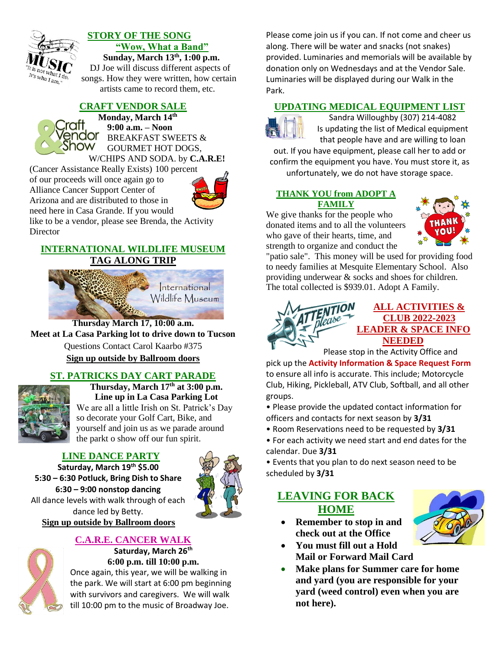

#### **STORY OF THE SONG "Wow, What a Band"**

**Sunday, March 13th , 1:00 p.m.**

DJ Joe will discuss different aspects of songs. How they were written, how certain artists came to record them, etc.

#### **CRAFT VENDOR SALE**

**Monday, March 14th 9:00 a.m. – Noon** endor BREAKFAST SWEETS & Show GOURMET HOT DOGS, W/CHIPS AND SODA. by **C.A.R.E!**

(Cancer Assistance Really Exists) 100 perce[nt](https://www.google.com/url?sa=i&rct=j&q=&esrc=s&source=images&cd=&ved=2ahUKEwisl5iq-6LgAhVTHDQIHX3PARgQjRx6BAgBEAU&url=https://clipartix.com/soda-clipart/&psig=AOvVaw0EMPji-APakjsUDoNqD4Ry&ust=1549400095272514)  of our proceeds will once again go to Alliance Cancer Support Center of Arizona and are distributed to those in need here in Casa Grande. If you would



like to be a vendor, please see Brenda, the Activity **Director** 

#### **INTERNATIONAL WILDLIFE MUSEUM TAG ALONG TRIP**



### **Thursday March 17, 10:00 a.m.**

**Meet at La Casa Parking lot to drive down to Tucson**

Questions Contact Carol Kaarbo #375

**Sign up outside by Ballroom doors**

#### **ST. PATRICKS DAY CART PARADE**



**Thursday, March 17th at 3:00 p.m. Line up in La Casa Parking Lot** We are all a little Irish on St. Patrick's Day so decorate your Golf Cart, Bike, and yourself and join us as we parade around the parkt o show off our fun spirit.

#### **LINE DANCE PARTY**

**Saturday, March 19th \$5.00 5:30 – 6:30 Potluck, Bring Dish to Share 6:30 – 9:00 nonstop dancing** All dance levels with walk through of each dance led by Betty. **Sign up outside by Ballroom doors**



#### **C.A.R.E. CANCER WALK**

**Saturday, March 26th 6:00 p.m. till 10:00 p.m.**

Once again, this year, we will be walking in the park. We will start at 6:00 pm beginning with survivors and caregivers. We will walk till 10:00 pm to the music of Broadway Joe.

Please come join us if you can. If not come and cheer us along. There will be water and snacks (not snakes) provided. Luminaries and memorials will be available by donation only on Wednesdays and at the Vendor Sale. Luminaries will be displayed during our Walk in the Park.

#### **UPDATING MEDICAL EQUIPMENT LIST**



Sandra Willoughby (307) 214-4082 Is updating the list of Medical equipment that people have and are willing to loan

out. If you have equipment, please call her to add or confirm the equipment you have. You must store it, as unfortunately, we do not have storage space.

#### **THANK YOU from ADOPT A FAMILY**

We give thanks for the people who donated items and to all the volunteers who gave of their hearts, time, and strength to organize and conduct the



"patio sale". This money will be used for providing food to needy families at Mesquite Elementary School. Also providing underwear & socks and shoes for children. The total collected is \$939.01. Adopt A Family.



#### **ALL ACTIVITIES & CLUB 2022-2023 LEADER & SPACE INFO NEEDED**

Please stop in the Activity Office and

pick up the **Activity Information & Space Request Form** to ensure all info is accurate. This include; Motorcycle Club, Hiking, Pickleball, ATV Club, Softball, and all other groups.

• Please provide the updated contact information for officers and contacts for next season by **3/31**

- Room Reservations need to be requested by **3/31**
- For each activity we need start and end dates for the calendar. Due **3/31**

• Events that you plan to do next season need to be scheduled by **3/31**

#### **LEAVING FOR BACK HOME**



- **Remember to stop in and check out at the Office**
- **You must fill out a Hold Mail or Forward Mail Card**
- **Make plans for Summer care for home and yard (you are responsible for your yard (weed control) even when you are not here).**